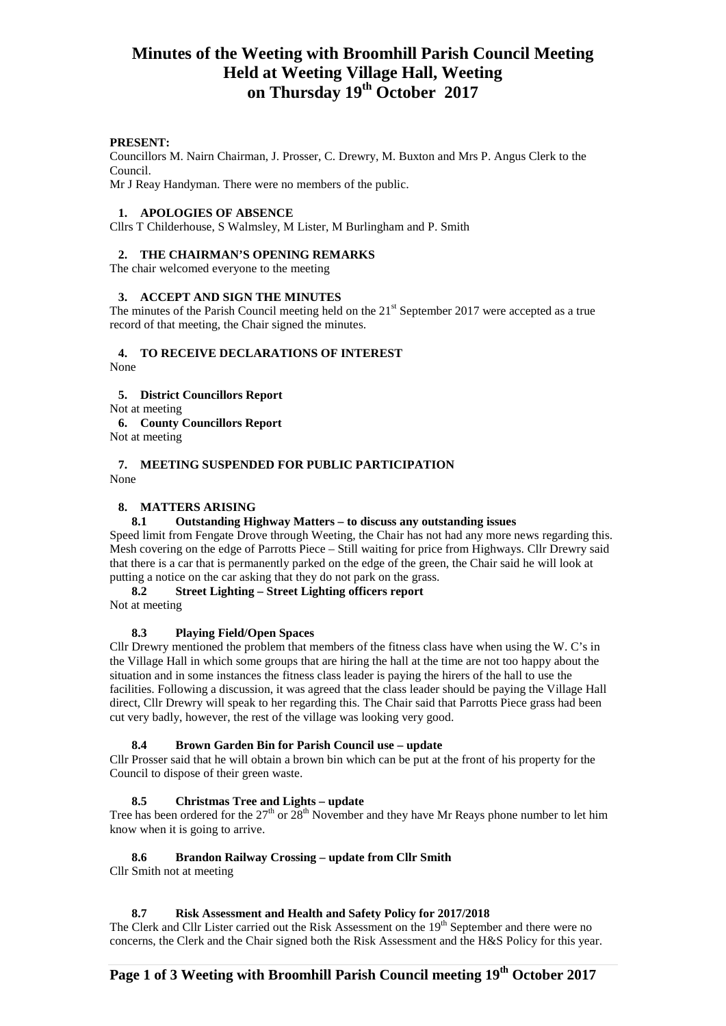## **Minutes of the Weeting with Broomhill Parish Council Meeting Held at Weeting Village Hall, Weeting on Thursday 19th October 2017**

#### **PRESENT:**

Councillors M. Nairn Chairman, J. Prosser, C. Drewry, M. Buxton and Mrs P. Angus Clerk to the Council.

Mr J Reay Handyman. There were no members of the public.

#### **1. APOLOGIES OF ABSENCE**

Cllrs T Childerhouse, S Walmsley, M Lister, M Burlingham and P. Smith

#### **2. THE CHAIRMAN'S OPENING REMARKS**

The chair welcomed everyone to the meeting

#### **3. ACCEPT AND SIGN THE MINUTES**

The minutes of the Parish Council meeting held on the 21<sup>st</sup> September 2017 were accepted as a true record of that meeting, the Chair signed the minutes.

## **4. TO RECEIVE DECLARATIONS OF INTEREST**

None

#### **5. District Councillors Report**

Not at meeting

**6. County Councillors Report**

Not at meeting

#### **7. MEETING SUSPENDED FOR PUBLIC PARTICIPATION**  None

#### **8. MATTERS ARISING**

## **8.1 Outstanding Highway Matters – to discuss any outstanding issues**

Speed limit from Fengate Drove through Weeting, the Chair has not had any more news regarding this. Mesh covering on the edge of Parrotts Piece – Still waiting for price from Highways. Cllr Drewry said that there is a car that is permanently parked on the edge of the green, the Chair said he will look at putting a notice on the car asking that they do not park on the grass.

#### **8.2 Street Lighting – Street Lighting officers report**

Not at meeting

## **8.3 Playing Field/Open Spaces**

Cllr Drewry mentioned the problem that members of the fitness class have when using the W. C's in the Village Hall in which some groups that are hiring the hall at the time are not too happy about the situation and in some instances the fitness class leader is paying the hirers of the hall to use the facilities. Following a discussion, it was agreed that the class leader should be paying the Village Hall direct, Cllr Drewry will speak to her regarding this. The Chair said that Parrotts Piece grass had been cut very badly, however, the rest of the village was looking very good.

## **8.4 Brown Garden Bin for Parish Council use – update**

Cllr Prosser said that he will obtain a brown bin which can be put at the front of his property for the Council to dispose of their green waste.

## **8.5 Christmas Tree and Lights – update**

Tree has been ordered for the  $27<sup>th</sup>$  or  $28<sup>th</sup>$  November and they have Mr Reays phone number to let him know when it is going to arrive.

## **8.6 Brandon Railway Crossing – update from Cllr Smith**

Cllr Smith not at meeting

#### **8.7 Risk Assessment and Health and Safety Policy for 2017/2018**

The Clerk and Cllr Lister carried out the Risk Assessment on the 19<sup>th</sup> September and there were no concerns, the Clerk and the Chair signed both the Risk Assessment and the H&S Policy for this year.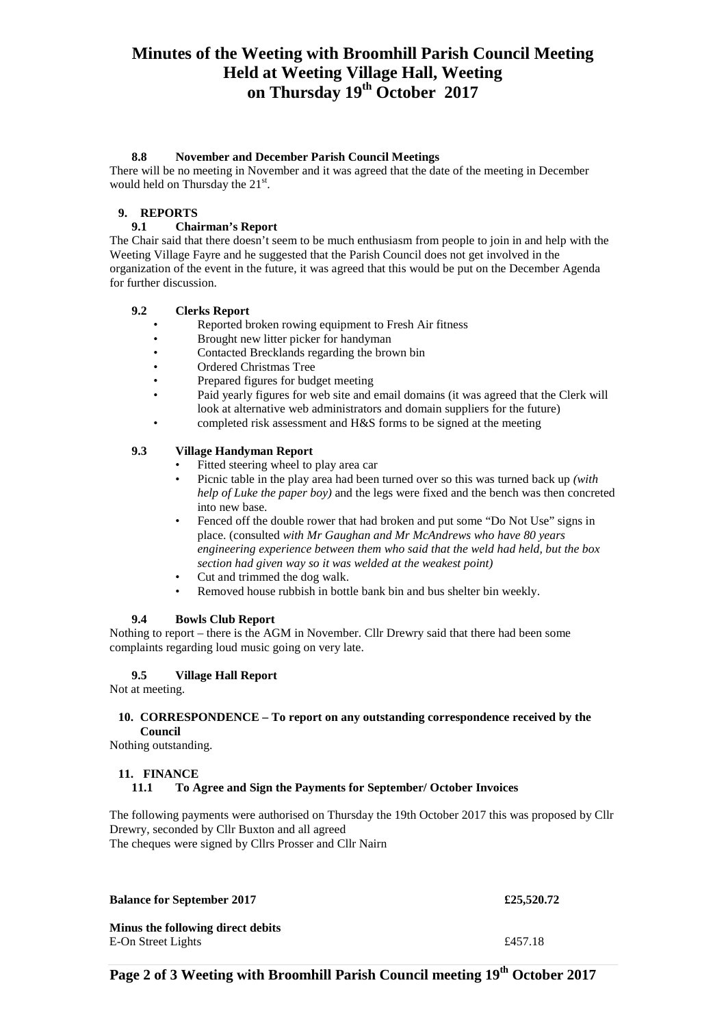# **Minutes of the Weeting with Broomhill Parish Council Meeting Held at Weeting Village Hall, Weeting on Thursday 19th October 2017**

## **8.8 November and December Parish Council Meetings**

There will be no meeting in November and it was agreed that the date of the meeting in December would held on Thursday the 21st.

## **9. REPORTS**

## **9.1 Chairman's Report**

The Chair said that there doesn't seem to be much enthusiasm from people to join in and help with the Weeting Village Fayre and he suggested that the Parish Council does not get involved in the organization of the event in the future, it was agreed that this would be put on the December Agenda for further discussion.

## **9.2 Clerks Report**

- Reported broken rowing equipment to Fresh Air fitness<br>• Republished interval it is the bandyman
- Brought new litter picker for handyman
- Contacted Brecklands regarding the brown bin
- Ordered Christmas Tree
- Prepared figures for budget meeting
- Paid yearly figures for web site and email domains (it was agreed that the Clerk will look at alternative web administrators and domain suppliers for the future)
	- completed risk assessment and H&S forms to be signed at the meeting

## **9.3 Village Handyman Report**

- Fitted steering wheel to play area car
- Picnic table in the play area had been turned over so this was turned back up *(with help of Luke the paper boy)* and the legs were fixed and the bench was then concreted into new base.
- Fenced off the double rower that had broken and put some "Do Not Use" signs in place. (consulted *with Mr Gaughan and Mr McAndrews who have 80 years engineering experience between them who said that the weld had held, but the box section had given way so it was welded at the weakest point)*
- Cut and trimmed the dog walk.
- Removed house rubbish in bottle bank bin and bus shelter bin weekly.

## **9.4 Bowls Club Report**

Nothing to report – there is the AGM in November. Cllr Drewry said that there had been some complaints regarding loud music going on very late.

## **9.5 Village Hall Report**

Not at meeting.

#### **10. CORRESPONDENCE – To report on any outstanding correspondence received by the Council**

Nothing outstanding.

## **11. FINANCE**

## **11.1 To Agree and Sign the Payments for September/ October Invoices**

The following payments were authorised on Thursday the 19th October 2017 this was proposed by Cllr Drewry, seconded by Cllr Buxton and all agreed The cheques were signed by Cllrs Prosser and Cllr Nairn

**Balance for September 2017 £25,520.72 Minus the following direct debits** E-On Street Lights  $£457.18$